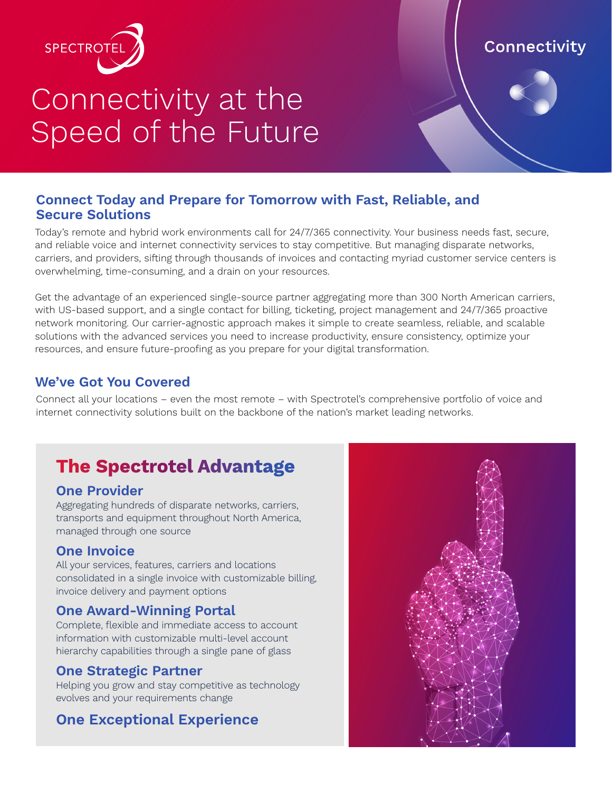

# Connectivity at the Speed of the Future

# Connectivity

## **Connect Today and Prepare for Tomorrow with Fast, Reliable, and Secure Solutions**

Today's remote and hybrid work environments call for 24/7/365 connectivity. Your business needs fast, secure, and reliable voice and internet connectivity services to stay competitive. But managing disparate networks, carriers, and providers, sifting through thousands of invoices and contacting myriad customer service centers is overwhelming, time-consuming, and a drain on your resources.

Get the advantage of an experienced single-source partner aggregating more than 300 North American carriers, with US-based support, and a single contact for billing, ticketing, project management and 24/7/365 proactive network monitoring. Our carrier-agnostic approach makes it simple to create seamless, reliable, and scalable solutions with the advanced services you need to increase productivity, ensure consistency, optimize your resources, and ensure future-proofing as you prepare for your digital transformation.

## **We've Got You Covered**

Connect all your locations – even the most remote – with Spectrotel's comprehensive portfolio of voice and internet connectivity solutions built on the backbone of the nation's market leading networks.

# **The Spectrotel Advantage**

## **One Provider**

Aggregating hundreds of disparate networks, carriers, transports and equipment throughout North America, managed through one source

#### **One Invoice**

All your services, features, carriers and locations consolidated in a single invoice with customizable billing, invoice delivery and payment options

## **One Award-Winning Portal**

Complete, flexible and immediate access to account information with customizable multi-level account hierarchy capabilities through a single pane of glass

## **One Strategic Partner**

Helping you grow and stay competitive as technology evolves and your requirements change

# **One Exceptional Experience**